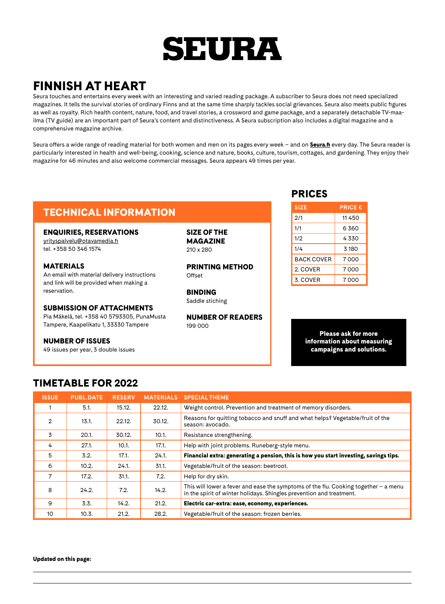## **SEURA**

## FINNISH AT HEART

Seura touches and entertains every week with an interesting and varied reading package. A subscriber to Seura does not need specialized magazines. It tells the survival stories of ordinary Finns and at the same time sharply tackles social grievances. Seura also meets public figures as well as royalty. Rich health content, nature, food, and travel stories, a crossword and game package, and a separately detachable TV-maailma (TV guide) are an important part of Seura's content and distinctiveness. A Seura subscription also includes a digital magazine and a comprehensive magazine archive.

Seura offers a wide range of reading material for both women and men on its pages every week – and on **[Seura.fi](http://Seura.fi)** every day. The Seura reader is particularly interested in health and well-being, cooking, science and nature, books, culture, tourism, cottages, and gardening. They enjoy their magazine for 46 minutes and also welcome commercial messages. Seura appears 49 times per year.

## TECHNICAL INFORMATION

#### ENQUIRIES, RESERVATIONS

[yrityspalvelu@otavamedia.fi](mailto:yrityspalvelu%40otavamedia.fi?subject=) tel. +358 50 346 1574

### MATERIALS

An email with material delivery instructions and link will be provided when making a reservation.

#### SUBMISSION OF ATTACHMENTS

Pia Mäkelä, tel. +358 40 5793305, PunaMusta Tampere, Kaapelikatu 1, 33330 Tampere

#### NUMBER OF ISSUES

49 issues per year, 3 double issues

SIZE OF THE MAGAZINE 210 x 280

PRINTING METHOD Offset

BINDING Saddle stiching

NUMBER OF READERS  $199.000$ 

### PRICES

| <b>SIZE</b>       | <b>PRICE €</b> |
|-------------------|----------------|
| 2/1               | 11450          |
| 1/1               | 6.360          |
| 1/2               | 4330           |
| 1/4               | 3 180          |
| <b>BACK COVER</b> | 7.000          |
| 2. COVER          | 7.000          |
| 3. COVER          | 7000           |

Please ask for more information about measuring campaigns and solutions.

## TIMETABLE FOR 2022

| <b>ISSUE</b> | <b>PUBL.DATE</b> | <b>RESERV</b> | <b>MATERIALS</b> | <b>SPECIAL THEME</b>                                                                                                                                          |
|--------------|------------------|---------------|------------------|---------------------------------------------------------------------------------------------------------------------------------------------------------------|
|              | 5.1.             | 15.12.        | 22.12.           | Weight control. Prevention and treatment of memory disorders.                                                                                                 |
| 2            | 13.1.            | 22.12.        | 30.12.           | Reasons for quitting tobacco and snuff and what helps? Vegetable/fruit of the<br>season: avocado.                                                             |
| 3            | 20.1.            | 30.12.        | 10.1.            | Resistance strengthening.                                                                                                                                     |
| 4            | 27.1.            | 10.1.         | 17.1.            | Help with joint problems. Runeberg-style menu.                                                                                                                |
| 5            | 3.2.             | 17.1.         | 24.1.            | Financial extra: generating a pension, this is how you start investing, savings tips.                                                                         |
| 6            | 10.2.            | 24.1.         | 31.1.            | Vegetable/fruit of the season: beetroot.                                                                                                                      |
| 7            | 17.2.            | 31.1.         | 7.2.             | Help for dry skin.                                                                                                                                            |
| 8            | 24.2.            | 7.2.          | 14.2.            | This will lower a fever and ease the symptoms of the flu. Cooking together $-$ a menu<br>in the spirit of winter holidays. Shingles prevention and treatment. |
| 9            | 3.3.             | 14.2.         | 21.2.            | Electric car-extra: ease, economy, experiences.                                                                                                               |
| 10           | 10.3.            | 21.2.         | 28.2.            | Vegetable/fruit of the season: frozen berries.                                                                                                                |

Updated on this page: